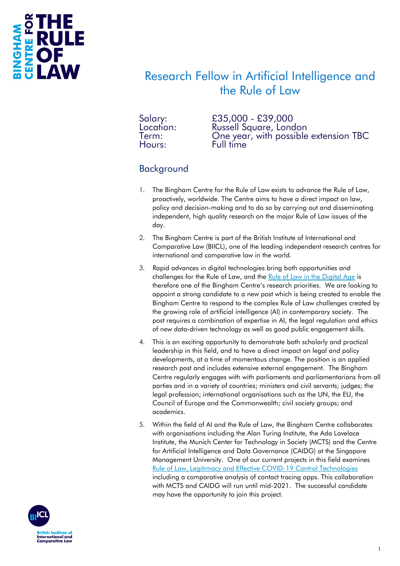

### Research Fellow in Artificial Intelligence and the Rule of Law

Salary: £35,000 - £39,000 Location: Russell Square, London Term: Che year, with possible extension TBC<br>Hours: Full time Full time

#### Background

- 1. The Bingham Centre for the Rule of Law exists to advance the Rule of Law, proactively, worldwide. The Centre aims to have a direct impact on law, policy and decision-making and to do so by carrying out and disseminating independent, high quality research on the major Rule of Law issues of the day.
- 2. The Bingham Centre is part of the British Institute of International and Comparative Law (BIICL), one of the leading independent research centres for international and comparative law in the world.
- 3. Rapid advances in digital technologies bring both opportunities and challenges for the Rule of Law, and the [Rule of Law in the Digital Age](https://binghamcentre.biicl.org/categories/digital-age) is therefore one of the Bingham Centre's research priorities. We are looking to appoint a strong candidate to a new post which is being created to enable the Bingham Centre to respond to the complex Rule of Law challenges created by the growing role of artificial intelligence (AI) in contemporary society. The post requires a combination of expertise in AI, the legal regulation and ethics of new data-driven technology as well as good public engagement skills.
- 4. This is an exciting opportunity to demonstrate both scholarly and practical leadership in this field, and to have a direct impact on legal and policy developments, at a time of momentous change. The position is an applied research post and includes extensive external engagement. The Bingham Centre regularly engages with with parliaments and parliamentarians from all parties and in a variety of countries; ministers and civil servants; judges; the legal profession; international organisations such as the UN, the EU, the Council of Europe and the Commonwealth; civil society groups; and academics.
- 5. Within the field of AI and the Rule of Law, the Bingham Centre collaborates with organisations including the Alan Turing Institute, the Ada Lovelace Institute, the Munich Center for Technology in Society (MCTS) and the Centre for Artificial Intelligence and Data Governance (CAIDG) at the Singapore Management University. One of our current projects in this field examines [Rule of Law, Legitimacy and Effective COVID-19 Control Technologies](https://binghamcentre.biicl.org/projects/rule-of-law-legitimacy-and-effective-covid-19-control-technologies) including a comparative analysis of contact tracing apps. This collaboration with MCTS and CAIDG will run until mid-2021. The successful candidate may have the opportunity to join this project.

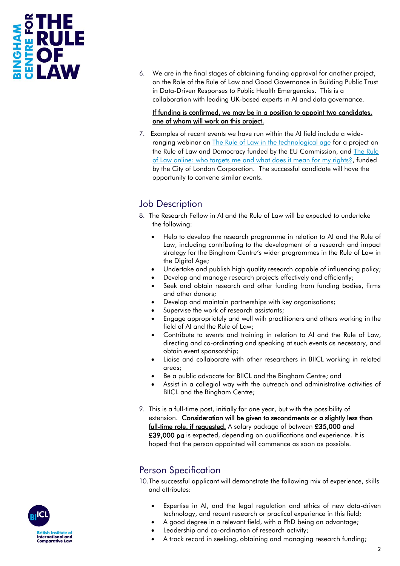## **CTHE<br>LRULE<br>EOF** MAHONI

6. We are in the final stages of obtaining funding approval for another project, on the Role of the Rule of Law and Good Governance in Building Public Trust in Data-Driven Responses to Public Health Emergencies. This is a collaboration with leading UK-based experts in AI and data governance.

#### If funding is confirmed, we may be in a position to appoint two candidates, one of whom will work on this project.

7. Examples of recent events we have run within the AI field include a wideranging webinar on **The Rule of Law in the technological age for a project on** the Rule of Law and Democracy funded by the EU Commission, and [The Rule](https://binghamcentre.biicl.org/events/1377/the-rule-of-law-online-who-targets-me-and-what-does-it-mean-for-my-rights)  [of Law online: who targets me and what does it mean for my rights?,](https://binghamcentre.biicl.org/events/1377/the-rule-of-law-online-who-targets-me-and-what-does-it-mean-for-my-rights) funded by the City of London Corporation. The successful candidate will have the opportunity to convene similar events.

#### Job Description

- 8. The Research Fellow in AI and the Rule of Law will be expected to undertake the following:
	- Help to develop the research programme in relation to AI and the Rule of Law, including contributing to the development of a research and impact strategy for the Bingham Centre's wider programmes in the Rule of Law in the Digital Age;
	- Undertake and publish high quality research capable of influencing policy;
	- Develop and manage research projects effectively and efficiently;
	- Seek and obtain research and other funding from funding bodies, firms and other donors;
	- Develop and maintain partnerships with key organisations;
	- Supervise the work of research assistants;
	- Engage appropriately and well with practitioners and others working in the field of AI and the Rule of Law;
	- Contribute to events and training in relation to AI and the Rule of Law, directing and co-ordinating and speaking at such events as necessary, and obtain event sponsorship;
	- Liaise and collaborate with other researchers in BIICL working in related areas;
	- Be a public advocate for BIICL and the Bingham Centre; and
	- Assist in a collegial way with the outreach and administrative activities of BIICL and the Bingham Centre;
- 9. This is a full-time post, initially for one year, but with the possibility of extension. Consideration will be given to secondments or a slightly less than full-time role, if requested. A salary package of between £35,000 and £39,000 pa is expected, depending on qualifications and experience. It is hoped that the person appointed will commence as soon as possible.

#### Person Specification

10.The successful applicant will demonstrate the following mix of experience, skills and attributes:

- Expertise in AI, and the legal regulation and ethics of new data-driven technology, and recent research or practical experience in this field;
- A good degree in a relevant field, with a PhD being an advantage;
- Leadership and co-ordination of research activity;
- A track record in seeking, obtaining and managing research funding;